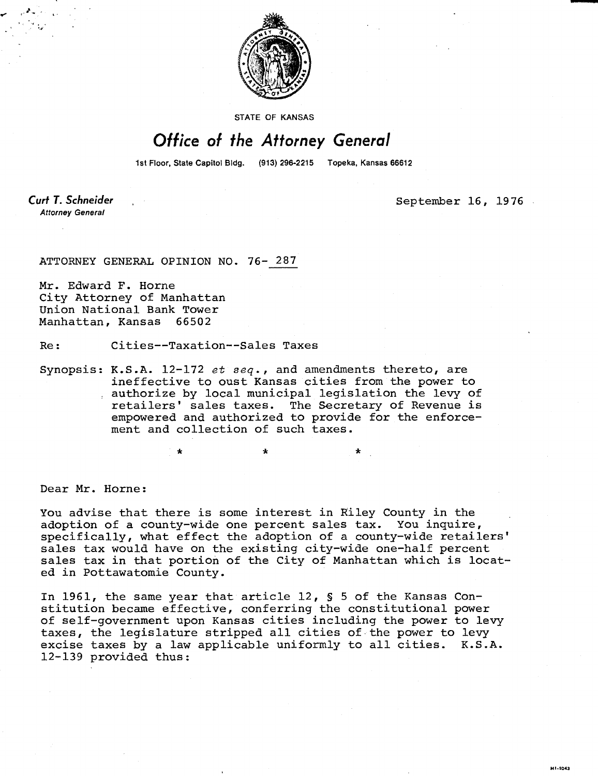

**STATE OF KANSAS** 

## Office of the Attorney General

1st Floor, State Capitol Bldg. (913) 296-2215 Topeka, Kansas 66612

Curt T. Schneider **Attorney General** 

September 16, 1976

ATTORNEY GENERAL OPINION NO. 76- 287

Mr. Edward F. Horne City Attorney of Manhattan Union National Bank Tower Manhattan, Kansas 66502

Re: Cities--Taxation--Sales Taxes

Synopsis: K.S.A.  $12-172$  et seq., and amendments thereto, are ineffective to oust Kansas cities from the power to authorize by local municipal legislation the levy of retailers' sales taxes. The Secretary of Revenue is empowered and authorized to provide for the enforcement and collection of such taxes.

Dear Mr. Horne:

You advise that there is some interest in Riley County in the adoption of a county-wide one percent sales tax. You inquire, specifically, what effect the adoption of a county-wide retailers' sales tax would have on the existing city-wide one-half percent sales tax in that portion of the City of Manhattan which is located in Pottawatomie County.

In 1961, the same year that article 12, § 5 of the Kansas Constitution became effective, conferring the constitutional power of self-government upon Kansas cities including the power to levy taxes, the legislature stripped all cities of the power to levy excise taxes by a law applicable uniformly to all cities. K.S.A. 12-139 provided thus: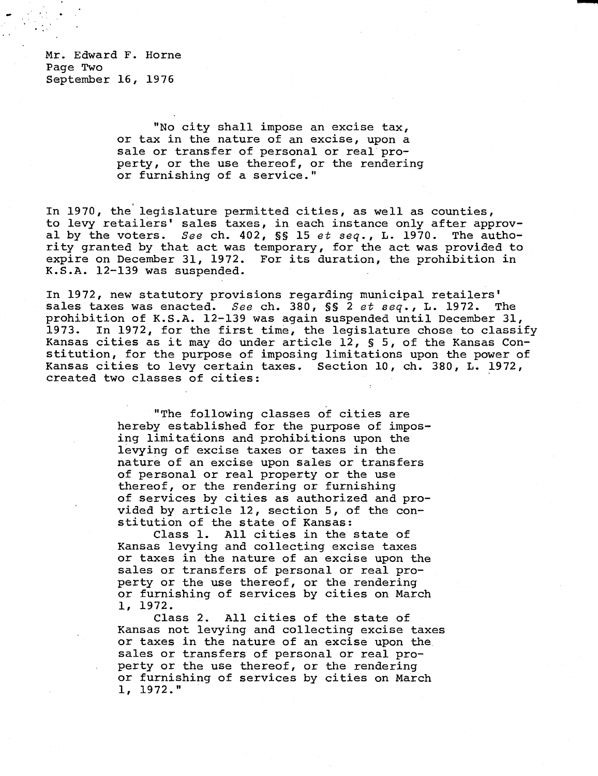Mr. Edward F. Horne Page Two September 16, 1976

> "No city shall impose an excise tax, or tax in the nature of an excise, upon a sale or transfer of personal or real property, or the use thereof, or the rendering or furnishing of a service."

In 1970, the legislature permitted cities, as well as counties, to levy retailers' sales taxes, in each instance only after approval by the voters. See ch. 402,  $SS$  15 et seq., L. 1970. The authority granted by that act was temporary, for the act was provided to expire on December 31, 1972. For its duration, the prohibition in K.S.A. 12-139 was suspended.

In 1972, new statutory provisions regarding municipal retailers' sales taxes was enacted. See ch. 380, §§ 2 et seq., L. 1972. The prohibition of K.S.A. 12-139 was again suspended until December 31, 1973. In 1972, for the first time, the legislature chose to classify Kansas cities as it may do under article 12, § 5, of the Kansas Constitution, for the purpose of imposing limitations upon the power of Kansas cities to levy certain taxes. Section 10, ch. 380, L. 1972, created two classes of cities:

> "The following classes of cities are hereby established for the purpose of imposing limitations and prohibitions upon the levying of excise taxes or taxes in the nature of an excise upon sales or transfers of personal or real property or the use thereof, or the rendering or furnishing of services by cities as authorized and provided by article 12, section 5, of the constitution of the state of Kansas:

> Class 1. All cities in the state of Kansas levying and collecting excise taxes or taxes in the nature of an excise upon the sales or transfers of personal or real property or the use thereof, or the rendering or furnishing of services by cities on March 1, 1972.

Class 2. All cities of the state of Kansas not levying and collecting excise taxes or taxes in the nature of an excise upon the sales or transfers of personal or real property or the use thereof, or the rendering or furnishing of services by cities on March 1, 1972."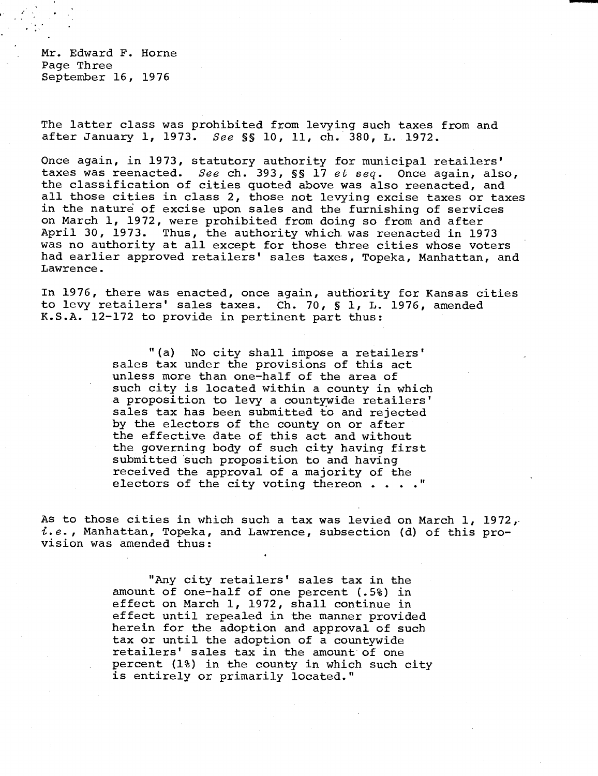Mr. Edward F. Horne Page Three September 16, 1976

The latter class was prohibited from levying such taxes from and after January 1, 1973. See §§ 10, 11, ch. 380, L. 1972.

Once again, in 1973, statutory authority for municipal retailers' taxes was reenacted. See ch. 393, SS 17 et seq. Once again, also, the classification of cities quoted above was also reenacted, and all those cities in class 2, those not levying excise taxes or taxes in the nature of excise upon sales and the furnishing of services on March 1, 1972, were prohibited from doing so from and after April 30, 1973. Thus, the authority which was reenacted in 1973 was no authority at all except for those three cities whose voters had earlier approved retailers' sales taxes, Topeka, Manhattan, and Lawrence.

In 1976, there was enacted, once again, authority for Kansas cities to levy retailers' sales taxes. Ch. 70, § 1, L. 1976, amended K.S.A. 12-172 to provide in pertinent part thus:

> "(a) No city shall impose a retailers' sales tax under the provisions of this act unless more than one-half of the area of such city is located within a county in which a proposition to levy a countywide retailers' sales tax has been submitted to and rejected by the electors of the county on or after the effective date of this act and without the governing body of such city having first submitted such proposition to and having received the approval of a majority of the electors of the city voting thereon . . . ."

As to those cities in which such a tax was levied on March 1, 1972, i.e., Manhattan, Topeka, and Lawrence, subsection (d) of this provision was amended thus:

> "Any city retailers' sales tax in the amount of one-half of one percent (.5%) in effect on March 1, 1972, shall continue in effect until repealed in the manner provided herein for the adoption and approval of such tax or until the adoption of a countywide retailers' sales tax in the amount of one percent (1%) in the county in which such city is entirely or primarily located."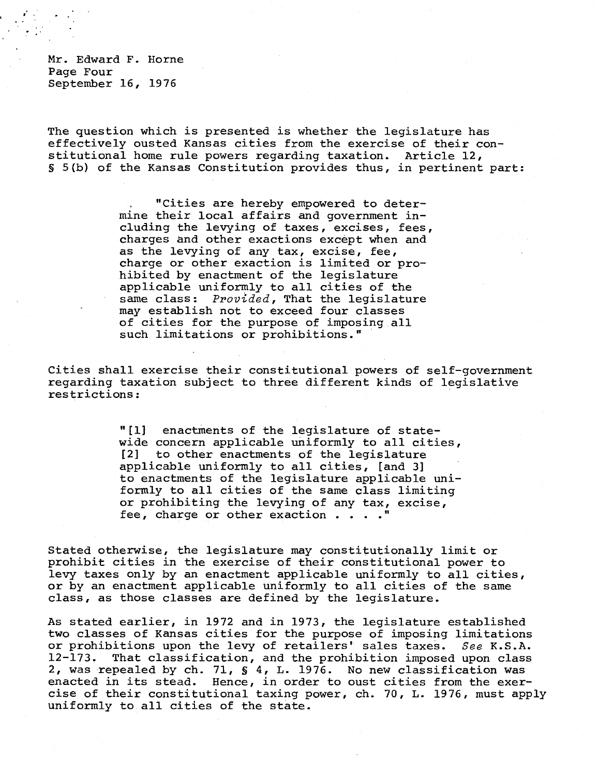Mr. Edward F. Horne Page Four September 16, 1976

The question which is presented is whether the legislature has effectively ousted Kansas cities from the exercise of their constitutional home rule powers regarding taxation. Article 12, 5(b) of the Kansas Constitution provides thus, in pertinent part:

> "Cities are hereby empowered to determine their local affairs and government including the levying of taxes, excises, fees, charges and other exactions except when and as the levying of any tax, excise, fee, charge or other exaction is limited or prohibited by enactment of the legislature applicable uniformly to all cities of the same class: Provided, That the legislature may establish not to exceed four classes of cities for the purpose of imposing all such limitations or prohibitions."

Cities shall exercise their constitutional powers of self-government regarding taxation subject to three different kinds of legislative restrictions:

> "[1] enactments of the legislature of statewide concern applicable uniformly to all cities, [2] to other enactments of the legislature applicable uniformly to all cities, [and 3] to enactments of the legislature applicable uniformly to all cities of the same class limiting or prohibiting the levying of any tax, excise, fee, charge or other exaction . . . ."

Stated otherwise, the legislature may constitutionally limit or prohibit cities in the exercise of their constitutional power to levy taxes only by an enactment applicable uniformly to all cities, or by an enactment applicable uniformly to all cities of the same class, as those classes are defined by the legislature.

As stated earlier, in 1972 and in 1973, the legislature established two classes of Kansas cities for the purpose of imposing limitations or prohibitions upon the levy of retailers' sales taxes. See K.S.A. 12-173. That classification, and the prohibition imposed upon class 2, was repealed by ch. 71, § 4, L. 1976. No new classification was enacted in its stead. Hence, in order to oust cities from the exercise of their constitutional taxing power, ch. 70, L. 1976, must apply uniformly to all cities of the state.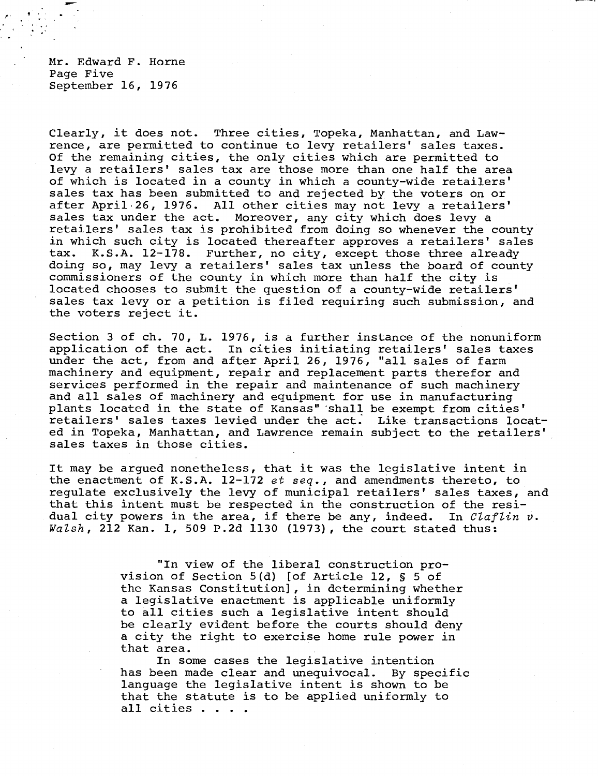Mr. Edward F. Horne Page Five September 16, 1976

Clearly, it does not. Three cities, Topeka, Manhattan, and Lawrence, are permitted to continue to levy retailers' sales taxes. Of the remaining cities, the only cities which are permitted to levy a retailers' sales tax are those more than one half the area of which is located in a county in which a county-wide retailers' sales tax has been submitted to and rejected by the voters on or after April 26, 1976. All other cities may not levy a retailers' sales tax under the act. Moreover, any city which does levy a retailers' sales tax is prohibited from doing so whenever the county in which such city is located thereafter approves a retailers' sales<br>tax. K.S.A. 12-178. Further, no city, except those three already tax. K.S.A. 12-178. Further, no city, except those three already doing so, may levy a retailers' sales tax unless the board of county commissioners of the county in which more than half the city is located chooses to submit the question of a county-wide retailers' sales tax levy or a petition is filed requiring such submission, and the voters reject it.

Section 3 of ch. 70, L. 1976, is a further instance of the nonuniform application of the act. In cities initiating retailers' sales taxes under the act, from and after April 26, 1976, "all sales of farm machinery and equipment, repair and replacement parts therefor and services performed in the repair and maintenance of such machinery and all sales of machinery and equipment for use in manufacturing plants located in the state of Kansas" shall be exempt from cities' retailers' sales taxes levied under the act. Like transactions located in Topeka, Manhattan, and Lawrence remain subject to the retailers' sales taxes in those cities.

It may be argued nonetheless, that it was the legislative intent in the enactment of K.S.A. 12-172 et seq., and amendments thereto, to regulate exclusively the levy of municipal retailers' sales taxes, and that this intent must be respected in the construction of the residual city powers in the area, if there be any, indeed. In  $Clafflin$  v. Walsh, 212 Kan. 1, 509 P.2d 1130 (1973), the court stated thus:

> "In view of the liberal construction provision of Section 5(d) [of Article 12, § 5 of the Kansas Constitution], in determining whether a legislative enactment is applicable uniformly to all cities such a legislative intent should be clearly evident before the courts should deny a city the right to exercise home rule power in that area.

In some cases the legislative intention has been made clear and unequivocal. By specific language the legislative intent is shown to be that the statute is to be applied uniformly to all cities . . . .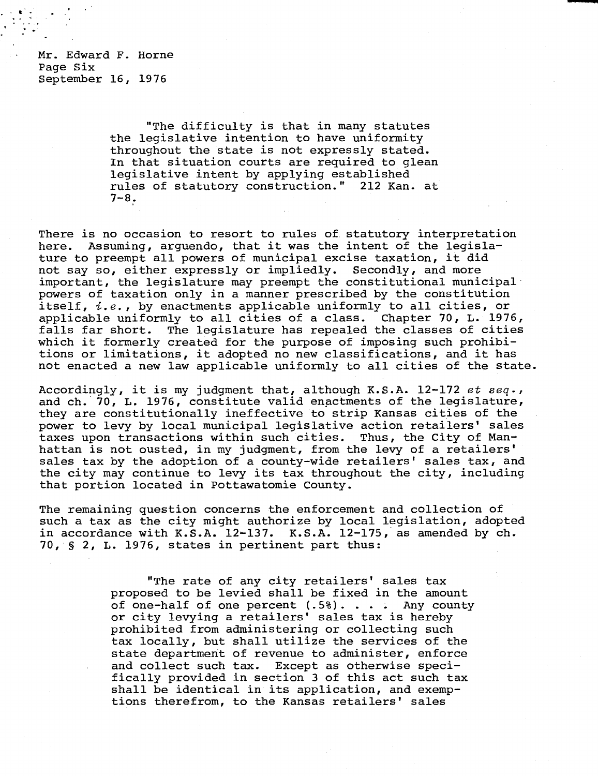Mr. Edward F. Horne Page Six September 16, 1976

> "The difficulty is that in many statutes the legislative intention to have uniformity throughout the state is not expressly stated. In that situation courts are required to glean legislative intent by applying established rules of statutory construction." 212 Kan. at  $7 - 8.$

There is no occasion to resort to rules of statutory interpretation here. Assuming, arguendo, that it was the intent of the legislature to preempt all powers of municipal excise taxation, it did not say so, either expressly or impliedly. Secondly, and more important, the legislature may preempt the constitutional municipal powers of taxation only in a manner prescribed by the constitution itself, *i.e.*, by enactments applicable uniformly to all cities, or applicable uniformly to all cities of a class. Chapter 70, L. 1976, falls far short. The legislature has repealed the classes of cities which it formerly created for the purpose of imposing such prohibitions or limitations, it adopted no new classifications, and it has not enacted a new law applicable uniformly to all cities of the state.

Accordingly, it is my judgment that, although K.S.A. 12-172 et seq., and ch. 70, L. 1976, constitute valid enactments of the legislature, they are constitutionally ineffective to strip Kansas cities of the power to levy by local municipal legislative action retailers' sales taxes upon transactions within such cities. Thus, the City of Manhattan is not ousted, in my judgment, from the levy of a retailers' sales tax by the adoption of a county-wide retailers' sales tax, and the city may continue to levy its tax throughout the city, including that portion located in Pottawatomie County.

The remaining question concerns the enforcement and collection of such a tax as the city might authorize by local legislation, adopted in accordance with K.S.A. 12-137. K.S.A. 12-175, as amended by ch. 70, § 2, L. 1976, states in pertinent part thus:

> "The rate of any city retailers' sales tax proposed to be levied shall be fixed in the amount of one-half of one percent (.5%). . . . Any county or city levying a retailers' sales tax is hereby prohibited from administering or collecting such tax locally, but shall utilize the services of the state department of revenue to administer, enforce and collect such tax. Except as otherwise specifically provided in section 3 of this act such tax shall be identical in its application, and exemptions therefrom, to the Kansas retailers' sales